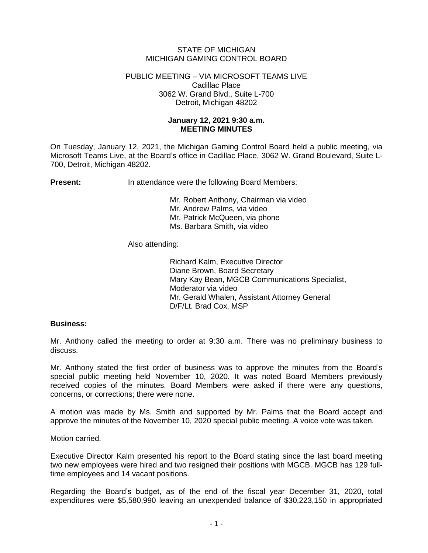# STATE OF MICHIGAN MICHIGAN GAMING CONTROL BOARD

## PUBLIC MEETING – VIA MICROSOFT TEAMS LIVE Cadillac Place 3062 W. Grand Blvd., Suite L-700 Detroit, Michigan 48202

# **January 12, 2021 9:30 a.m. MEETING MINUTES**

On Tuesday, January 12, 2021, the Michigan Gaming Control Board held a public meeting, via Microsoft Teams Live, at the Board's office in Cadillac Place, 3062 W. Grand Boulevard, Suite L-700, Detroit, Michigan 48202.

**Present:** In attendance were the following Board Members:

Mr. Robert Anthony, Chairman via video Mr. Andrew Palms, via video Mr. Patrick McQueen, via phone Ms. Barbara Smith, via video

Also attending:

Richard Kalm, Executive Director Diane Brown, Board Secretary Mary Kay Bean, MGCB Communications Specialist, Moderator via video Mr. Gerald Whalen, Assistant Attorney General D/F/Lt. Brad Cox, MSP

## **Business:**

Mr. Anthony called the meeting to order at 9:30 a.m. There was no preliminary business to discuss.

Mr. Anthony stated the first order of business was to approve the minutes from the Board's special public meeting held November 10, 2020. It was noted Board Members previously received copies of the minutes. Board Members were asked if there were any questions, concerns, or corrections; there were none.

A motion was made by Ms. Smith and supported by Mr. Palms that the Board accept and approve the minutes of the November 10, 2020 special public meeting. A voice vote was taken.

Motion carried.

Executive Director Kalm presented his report to the Board stating since the last board meeting two new employees were hired and two resigned their positions with MGCB. MGCB has 129 fulltime employees and 14 vacant positions.

Regarding the Board's budget, as of the end of the fiscal year December 31, 2020, total expenditures were \$5,580,990 leaving an unexpended balance of \$30,223,150 in appropriated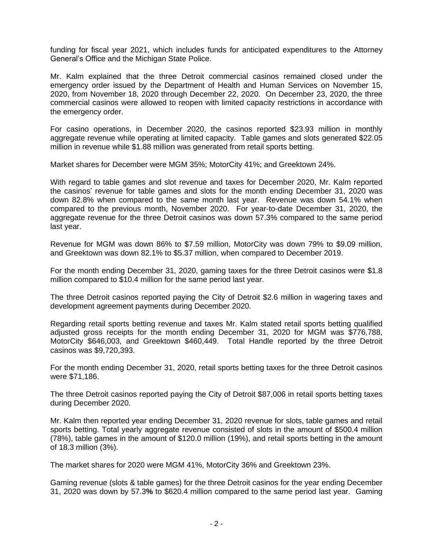funding for fiscal year 2021, which includes funds for anticipated expenditures to the Attorney General's Office and the Michigan State Police.

Mr. Kalm explained that the three Detroit commercial casinos remained closed under the emergency order issued by the Department of Health and Human Services on November 15, 2020, from November 18, 2020 through December 22, 2020. On December 23, 2020, the three commercial casinos were allowed to reopen with limited capacity restrictions in accordance with the emergency order.

For casino operations, in December 2020, the casinos reported \$23.93 million in monthly aggregate revenue while operating at limited capacity. Table games and slots generated \$22.05 million in revenue while \$1.88 million was generated from retail sports betting.

Market shares for December were MGM 35%; MotorCity 41%; and Greektown 24%.

With regard to table games and slot revenue and taxes for December 2020, Mr. Kalm reported the casinos' revenue for table games and slots for the month ending December 31, 2020 was down 82.8% when compared to the same month last year. Revenue was down 54.1% when compared to the previous month, November 2020. For year-to-date December 31, 2020, the aggregate revenue for the three Detroit casinos was down 57.3% compared to the same period last year.

Revenue for MGM was down 86% to \$7.59 million, MotorCity was down 79% to \$9.09 million, and Greektown was down 82.1% to \$5.37 million, when compared to December 2019.

For the month ending December 31, 2020, gaming taxes for the three Detroit casinos were \$1.8 million compared to \$10.4 million for the same period last year.

The three Detroit casinos reported paying the City of Detroit \$2.6 million in wagering taxes and development agreement payments during December 2020.

Regarding retail sports betting revenue and taxes Mr. Kalm stated retail sports betting qualified adjusted gross receipts for the month ending December 31, 2020 for MGM was \$776,788, MotorCity \$646,003, and Greektown \$460,449. Total Handle reported by the three Detroit casinos was \$9,720,393.

For the month ending December 31, 2020, retail sports betting taxes for the three Detroit casinos were \$71,186.

The three Detroit casinos reported paying the City of Detroit \$87,006 in retail sports betting taxes during December 2020.

Mr. Kalm then reported year ending December 31, 2020 revenue for slots, table games and retail sports betting. Total yearly aggregate revenue consisted of slots in the amount of \$500.4 million (78%), table games in the amount of \$120.0 million (19%), and retail sports betting in the amount of 18.3 million (3%).

The market shares for 2020 were MGM 41%, MotorCity 36% and Greektown 23%.

Gaming revenue (slots & table games) for the three Detroit casinos for the year ending December 31, 2020 was down by 57.3**%** to \$620.4 million compared to the same period last year. Gaming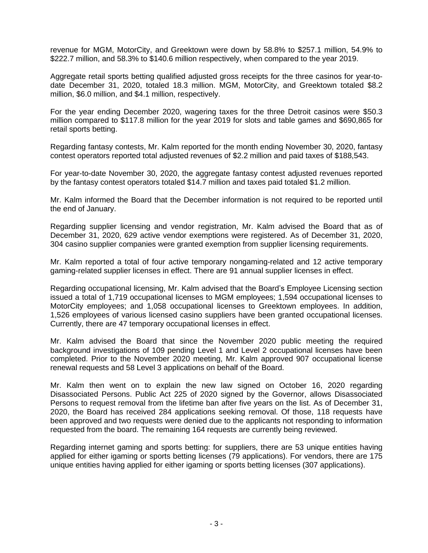revenue for MGM, MotorCity, and Greektown were down by 58.8% to \$257.1 million, 54.9% to \$222.7 million, and 58.3% to \$140.6 million respectively, when compared to the year 2019.

Aggregate retail sports betting qualified adjusted gross receipts for the three casinos for year-todate December 31, 2020, totaled 18.3 million. MGM, MotorCity, and Greektown totaled \$8.2 million, \$6.0 million, and \$4.1 million, respectively.

For the year ending December 2020, wagering taxes for the three Detroit casinos were \$50.3 million compared to \$117.8 million for the year 2019 for slots and table games and \$690,865 for retail sports betting.

Regarding fantasy contests, Mr. Kalm reported for the month ending November 30, 2020, fantasy contest operators reported total adjusted revenues of \$2.2 million and paid taxes of \$188,543.

For year-to-date November 30, 2020, the aggregate fantasy contest adjusted revenues reported by the fantasy contest operators totaled \$14.7 million and taxes paid totaled \$1.2 million.

Mr. Kalm informed the Board that the December information is not required to be reported until the end of January.

Regarding supplier licensing and vendor registration, Mr. Kalm advised the Board that as of December 31, 2020, 629 active vendor exemptions were registered. As of December 31, 2020, 304 casino supplier companies were granted exemption from supplier licensing requirements.

Mr. Kalm reported a total of four active temporary nongaming-related and 12 active temporary gaming-related supplier licenses in effect. There are 91 annual supplier licenses in effect.

Regarding occupational licensing, Mr. Kalm advised that the Board's Employee Licensing section issued a total of 1,719 occupational licenses to MGM employees; 1,594 occupational licenses to MotorCity employees; and 1,058 occupational licenses to Greektown employees. In addition, 1,526 employees of various licensed casino suppliers have been granted occupational licenses. Currently, there are 47 temporary occupational licenses in effect.

Mr. Kalm advised the Board that since the November 2020 public meeting the required background investigations of 109 pending Level 1 and Level 2 occupational licenses have been completed. Prior to the November 2020 meeting, Mr. Kalm approved 907 occupational license renewal requests and 58 Level 3 applications on behalf of the Board.

Mr. Kalm then went on to explain the new law signed on October 16, 2020 regarding Disassociated Persons. Public Act 225 of 2020 signed by the Governor, allows Disassociated Persons to request removal from the lifetime ban after five years on the list. As of December 31, 2020, the Board has received 284 applications seeking removal. Of those, 118 requests have been approved and two requests were denied due to the applicants not responding to information requested from the board. The remaining 164 requests are currently being reviewed.

Regarding internet gaming and sports betting: for suppliers, there are 53 unique entities having applied for either igaming or sports betting licenses (79 applications). For vendors, there are 175 unique entities having applied for either igaming or sports betting licenses (307 applications).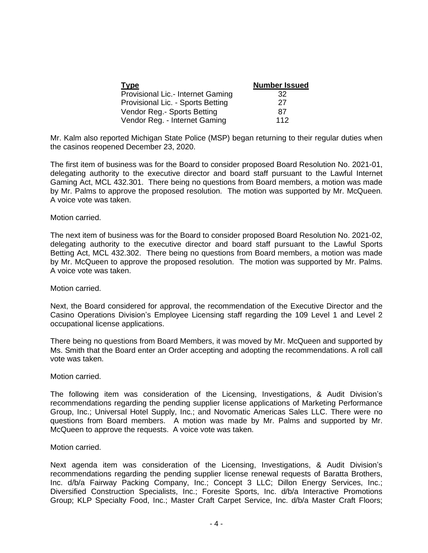| <b>Type</b>                       | <b>Number Issued</b> |
|-----------------------------------|----------------------|
| Provisional Lic.- Internet Gaming | 32                   |
| Provisional Lic. - Sports Betting | 27                   |
| Vendor Reg.- Sports Betting       | 87                   |
| Vendor Reg. - Internet Gaming     | 112                  |

Mr. Kalm also reported Michigan State Police (MSP) began returning to their regular duties when the casinos reopened December 23, 2020.

The first item of business was for the Board to consider proposed Board Resolution No. 2021-01, delegating authority to the executive director and board staff pursuant to the Lawful Internet Gaming Act, MCL 432.301. There being no questions from Board members, a motion was made by Mr. Palms to approve the proposed resolution. The motion was supported by Mr. McQueen. A voice vote was taken.

## Motion carried.

The next item of business was for the Board to consider proposed Board Resolution No. 2021-02, delegating authority to the executive director and board staff pursuant to the Lawful Sports Betting Act, MCL 432.302. There being no questions from Board members, a motion was made by Mr. McQueen to approve the proposed resolution. The motion was supported by Mr. Palms. A voice vote was taken.

## Motion carried.

Next, the Board considered for approval, the recommendation of the Executive Director and the Casino Operations Division's Employee Licensing staff regarding the 109 Level 1 and Level 2 occupational license applications.

There being no questions from Board Members, it was moved by Mr. McQueen and supported by Ms. Smith that the Board enter an Order accepting and adopting the recommendations. A roll call vote was taken.

## Motion carried.

The following item was consideration of the Licensing, Investigations, & Audit Division's recommendations regarding the pending supplier license applications of Marketing Performance Group, Inc.; Universal Hotel Supply, Inc.; and Novomatic Americas Sales LLC. There were no questions from Board members. A motion was made by Mr. Palms and supported by Mr. McQueen to approve the requests. A voice vote was taken.

## Motion carried.

Next agenda item was consideration of the Licensing, Investigations, & Audit Division's recommendations regarding the pending supplier license renewal requests of Baratta Brothers, Inc. d/b/a Fairway Packing Company, Inc.; Concept 3 LLC; Dillon Energy Services, Inc.; Diversified Construction Specialists, Inc.; Foresite Sports, Inc. d/b/a Interactive Promotions Group; KLP Specialty Food, Inc.; Master Craft Carpet Service, Inc. d/b/a Master Craft Floors;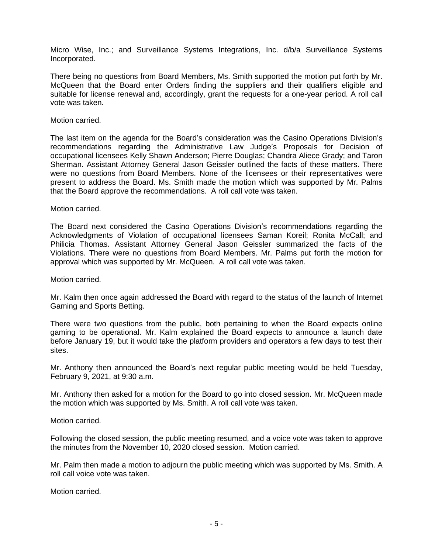Micro Wise, Inc.; and Surveillance Systems Integrations, Inc. d/b/a Surveillance Systems Incorporated.

There being no questions from Board Members, Ms. Smith supported the motion put forth by Mr. McQueen that the Board enter Orders finding the suppliers and their qualifiers eligible and suitable for license renewal and, accordingly, grant the requests for a one-year period. A roll call vote was taken.

## Motion carried.

The last item on the agenda for the Board's consideration was the Casino Operations Division's recommendations regarding the Administrative Law Judge's Proposals for Decision of occupational licensees Kelly Shawn Anderson; Pierre Douglas; Chandra Aliece Grady; and Taron Sherman. Assistant Attorney General Jason Geissler outlined the facts of these matters. There were no questions from Board Members. None of the licensees or their representatives were present to address the Board. Ms. Smith made the motion which was supported by Mr. Palms that the Board approve the recommendations. A roll call vote was taken.

#### Motion carried.

The Board next considered the Casino Operations Division's recommendations regarding the Acknowledgments of Violation of occupational licensees Saman Koreil; Ronita McCall; and Philicia Thomas. Assistant Attorney General Jason Geissler summarized the facts of the Violations. There were no questions from Board Members. Mr. Palms put forth the motion for approval which was supported by Mr. McQueen. A roll call vote was taken.

Motion carried.

Mr. Kalm then once again addressed the Board with regard to the status of the launch of Internet Gaming and Sports Betting.

There were two questions from the public, both pertaining to when the Board expects online gaming to be operational. Mr. Kalm explained the Board expects to announce a launch date before January 19, but it would take the platform providers and operators a few days to test their sites.

Mr. Anthony then announced the Board's next regular public meeting would be held Tuesday, February 9, 2021, at 9:30 a.m.

Mr. Anthony then asked for a motion for the Board to go into closed session. Mr. McQueen made the motion which was supported by Ms. Smith. A roll call vote was taken.

Motion carried.

Following the closed session, the public meeting resumed, and a voice vote was taken to approve the minutes from the November 10, 2020 closed session. Motion carried.

Mr. Palm then made a motion to adjourn the public meeting which was supported by Ms. Smith. A roll call voice vote was taken.

Motion carried.